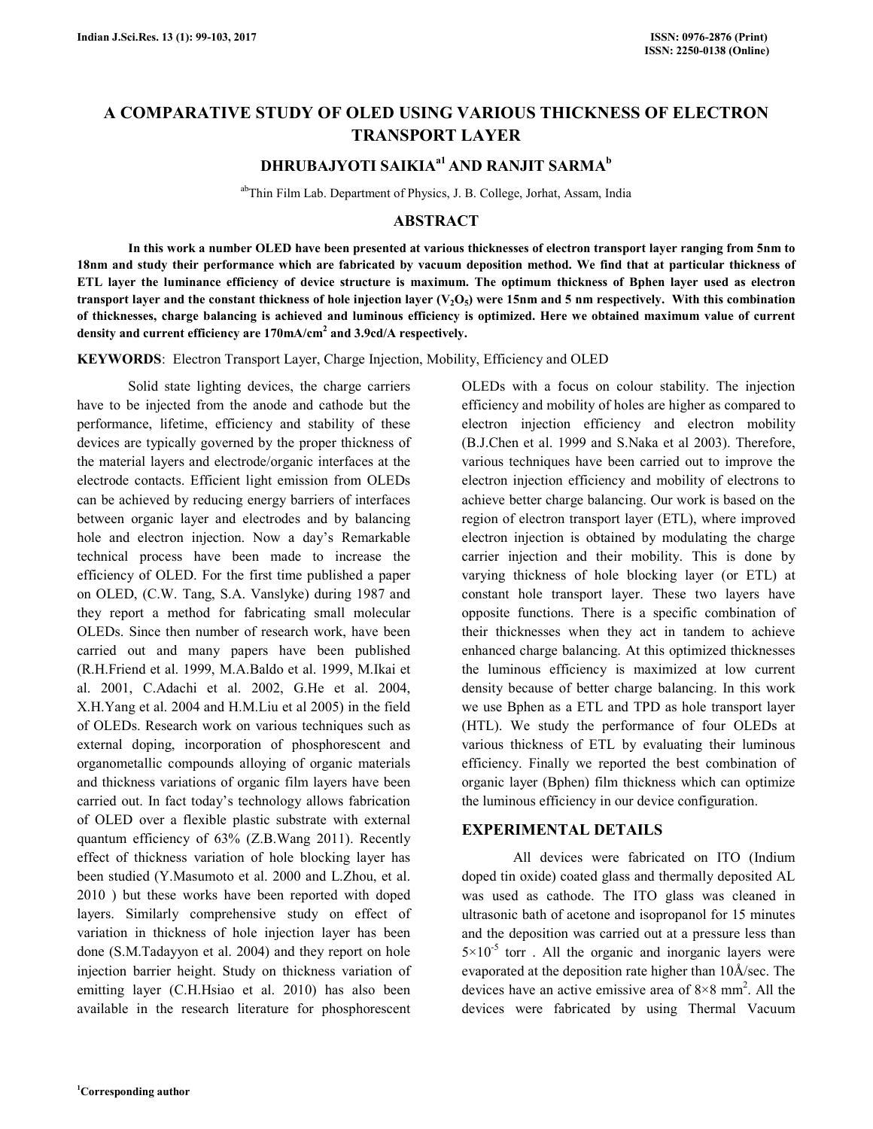# **A COMPARATIVE STUDY OF OLED USING VARIOUS THICKNESS OF ELECTRON TRANSPORT LAYER**

# **DHRUBAJYOTI SAIKIAa1 AND RANJIT SARMA<sup>b</sup>**

abThin Film Lab. Department of Physics, J. B. College, Jorhat, Assam, India

## **ABSTRACT**

 **In this work a number OLED have been presented at various thicknesses of electron transport layer ranging from 5nm to 18nm and study their performance which are fabricated by vacuum deposition method. We find that at particular thickness of ETL layer the luminance efficiency of device structure is maximum. The optimum thickness of Bphen layer used as electron**  transport layer and the constant thickness of hole injection layer  $(V_2O_5)$  were 15nm and 5 nm respectively. With this combination **of thicknesses, charge balancing is achieved and luminous efficiency is optimized. Here we obtained maximum value of current density and current efficiency are 170mA/cm<sup>2</sup> and 3.9cd/A respectively.** 

**KEYWORDS**: Electron Transport Layer, Charge Injection, Mobility, Efficiency and OLED

 Solid state lighting devices, the charge carriers have to be injected from the anode and cathode but the performance, lifetime, efficiency and stability of these devices are typically governed by the proper thickness of the material layers and electrode/organic interfaces at the electrode contacts. Efficient light emission from OLEDs can be achieved by reducing energy barriers of interfaces between organic layer and electrodes and by balancing hole and electron injection. Now a day's Remarkable technical process have been made to increase the efficiency of OLED. For the first time published a paper on OLED, (C.W. Tang, S.A. Vanslyke) during 1987 and they report a method for fabricating small molecular OLEDs. Since then number of research work, have been carried out and many papers have been published (R.H.Friend et al. 1999, M.A.Baldo et al. 1999, M.Ikai et al. 2001, C.Adachi et al. 2002, G.He et al. 2004, X.H.Yang et al. 2004 and H.M.Liu et al 2005) in the field of OLEDs. Research work on various techniques such as external doping, incorporation of phosphorescent and organometallic compounds alloying of organic materials and thickness variations of organic film layers have been carried out. In fact today's technology allows fabrication of OLED over a flexible plastic substrate with external quantum efficiency of 63% (Z.B.Wang 2011). Recently effect of thickness variation of hole blocking layer has been studied (Y.Masumoto et al. 2000 and L.Zhou, et al. 2010 ) but these works have been reported with doped layers. Similarly comprehensive study on effect of variation in thickness of hole injection layer has been done (S.M.Tadayyon et al. 2004) and they report on hole injection barrier height. Study on thickness variation of emitting layer (C.H.Hsiao et al. 2010) has also been available in the research literature for phosphorescent OLEDs with a focus on colour stability. The injection efficiency and mobility of holes are higher as compared to electron injection efficiency and electron mobility (B.J.Chen et al. 1999 and S.Naka et al 2003). Therefore, various techniques have been carried out to improve the electron injection efficiency and mobility of electrons to achieve better charge balancing. Our work is based on the region of electron transport layer (ETL), where improved electron injection is obtained by modulating the charge carrier injection and their mobility. This is done by varying thickness of hole blocking layer (or ETL) at constant hole transport layer. These two layers have opposite functions. There is a specific combination of their thicknesses when they act in tandem to achieve enhanced charge balancing. At this optimized thicknesses the luminous efficiency is maximized at low current density because of better charge balancing. In this work we use Bphen as a ETL and TPD as hole transport layer (HTL). We study the performance of four OLEDs at various thickness of ETL by evaluating their luminous efficiency. Finally we reported the best combination of organic layer (Bphen) film thickness which can optimize the luminous efficiency in our device configuration.

#### **EXPERIMENTAL DETAILS**

 All devices were fabricated on ITO (Indium doped tin oxide) coated glass and thermally deposited AL was used as cathode. The ITO glass was cleaned in ultrasonic bath of acetone and isopropanol for 15 minutes and the deposition was carried out at a pressure less than  $5\times10^{-5}$  torr. All the organic and inorganic layers were evaporated at the deposition rate higher than 10Å/sec. The devices have an active emissive area of  $8 \times 8$  mm<sup>2</sup>. All the devices were fabricated by using Thermal Vacuum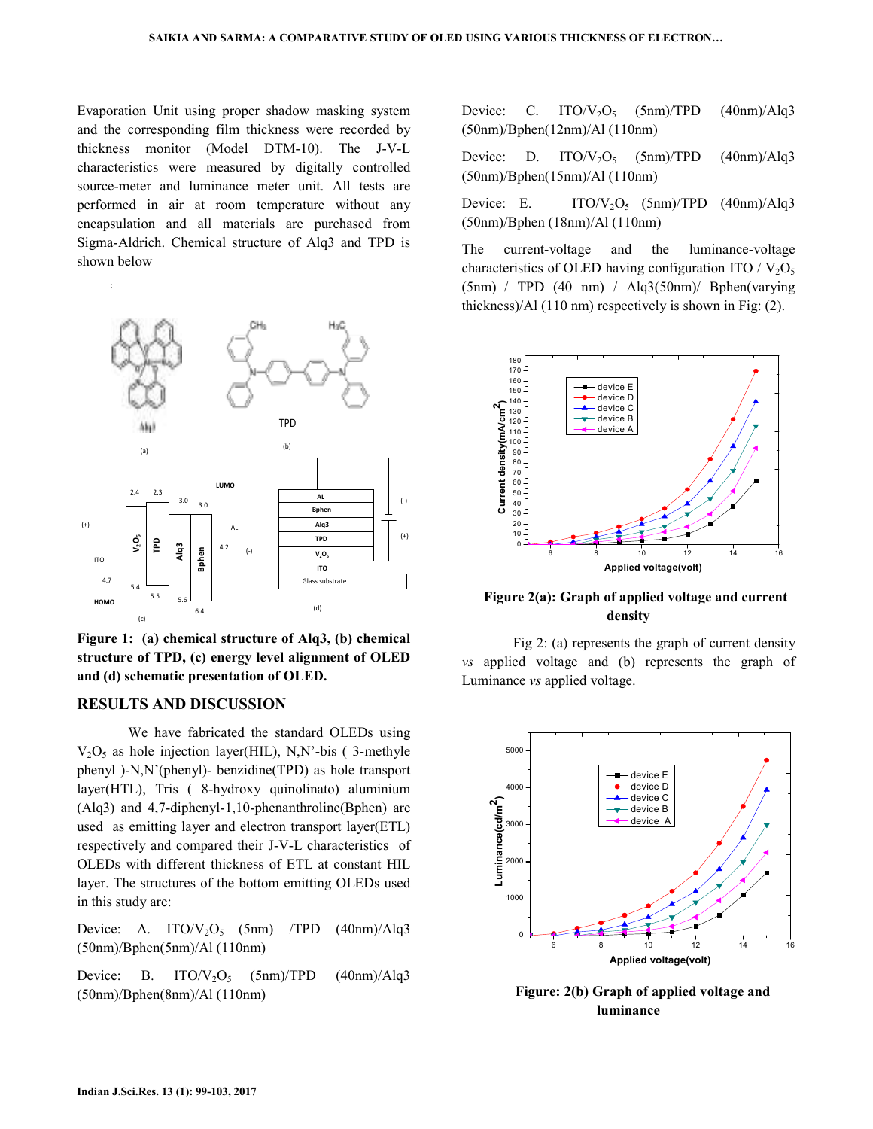Evaporation Unit using proper shadow masking system and the corresponding film thickness were recorded by thickness monitor (Model DTM-10). The J-V-L characteristics were measured by digitally controlled source-meter and luminance meter unit. All tests are performed in air at room temperature without any encapsulation and all materials are purchased from Sigma-Aldrich. Chemical structure of Alq3 and TPD is shown below



**Figure 1: (a) chemical structure of Alq3, (b) chemical structure of TPD, (c) energy level alignment of OLED and (d) schematic presentation of OLED.** 

## **RESULTS AND DISCUSSION**

 We have fabricated the standard OLEDs using  $V<sub>2</sub>O<sub>5</sub>$  as hole injection layer(HIL), N,N'-bis (3-methyle phenyl )-N,N'(phenyl)- benzidine(TPD) as hole transport layer(HTL), Tris ( 8-hydroxy quinolinato) aluminium (Alq3) and 4,7-diphenyl-1,10-phenanthroline(Bphen) are used as emitting layer and electron transport layer(ETL) respectively and compared their J-V-L characteristics of OLEDs with different thickness of ETL at constant HIL layer. The structures of the bottom emitting OLEDs used in this study are:

Device: A. ITO/ $V_2O_5$  (5nm) /TPD (40nm)/Alq3 (50nm)/Bphen(5nm)/Al (110nm)

Device: B. ITO/ $V_2O_5$  (5nm)/TPD (40nm)/Alq3 (50nm)/Bphen(8nm)/Al (110nm)

Device: C. ITO/ $V_2O_5$  (5nm)/TPD (40nm)/Alq3 (50nm)/Bphen(12nm)/Al (110nm)

Device: D. ITO/ $V_2O_5$  (5nm)/TPD (40nm)/Alq3 (50nm)/Bphen(15nm)/Al (110nm)

Device: E. ITO/ $V_2O_5$  (5nm)/TPD (40nm)/Alq3 (50nm)/Bphen (18nm)/Al (110nm)

The current-voltage and the luminance-voltage characteristics of OLED having configuration ITO /  $V_2O_5$  $(5nm)$  / TPD  $(40 \text{ nm})$  / Alq3 $(50nm)$ / Bphen(varying thickness)/Al (110 nm) respectively is shown in Fig: (2).



 **Figure 2(a): Graph of applied voltage and current density**

 Fig 2: (a) represents the graph of current density *vs* applied voltage and (b) represents the graph of Luminance *vs* applied voltage.



 **Figure: 2(b) Graph of applied voltage and luminance**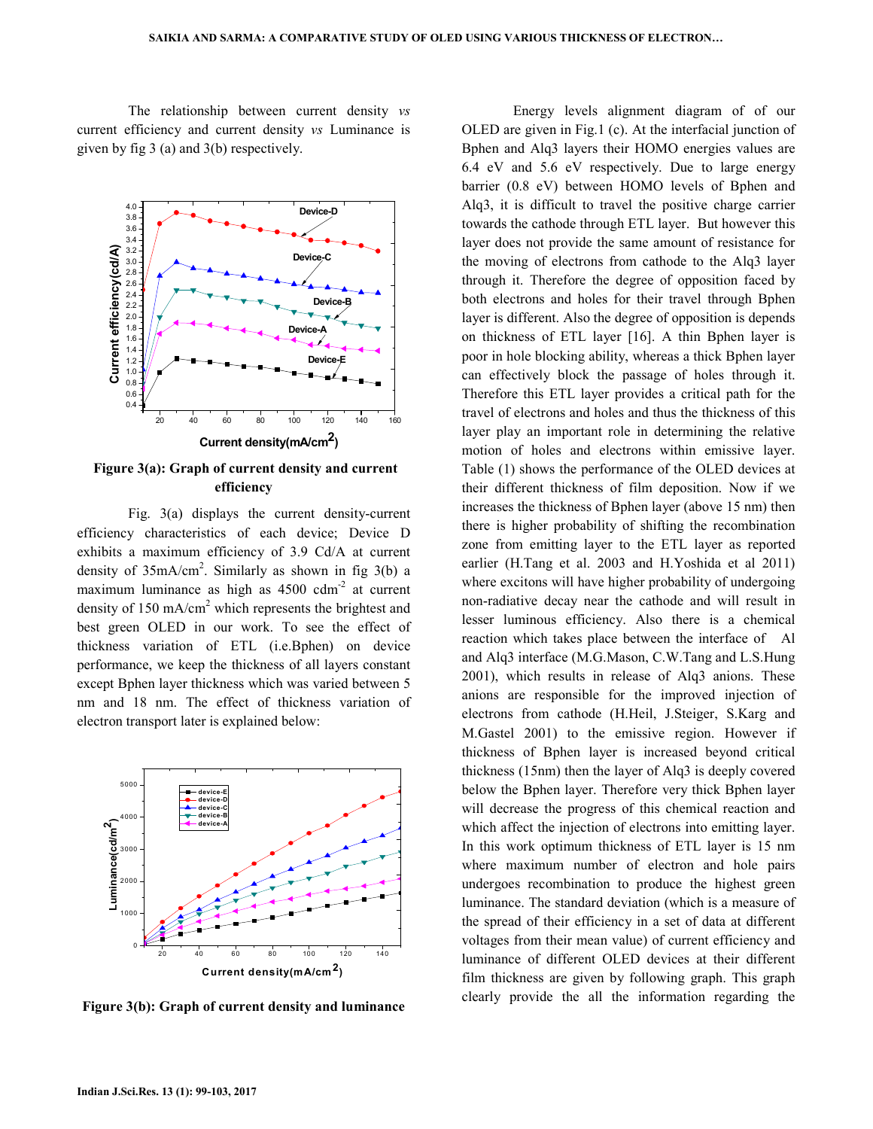The relationship between current density *vs*  current efficiency and current density *vs* Luminance is given by fig 3 (a) and 3(b) respectively.



**Figure 3(a): Graph of current density and current efficiency**

 Fig. 3(a) displays the current density-current efficiency characteristics of each device; Device D exhibits a maximum efficiency of 3.9 Cd/A at current density of  $35mA/cm<sup>2</sup>$ . Similarly as shown in fig  $3(b)$  a maximum luminance as high as  $4500 \text{ cdm}^2$  at current density of 150 mA/cm<sup>2</sup> which represents the brightest and best green OLED in our work. To see the effect of thickness variation of ETL (i.e.Bphen) on device performance, we keep the thickness of all layers constant except Bphen layer thickness which was varied between 5 nm and 18 nm. The effect of thickness variation of electron transport later is explained below:



**Figure 3(b): Graph of current density and luminance**

 Energy levels alignment diagram of of our OLED are given in Fig.1 (c). At the interfacial junction of Bphen and Alq3 layers their HOMO energies values are 6.4 eV and 5.6 eV respectively. Due to large energy barrier (0.8 eV) between HOMO levels of Bphen and Alq3, it is difficult to travel the positive charge carrier towards the cathode through ETL layer. But however this layer does not provide the same amount of resistance for the moving of electrons from cathode to the Alq3 layer through it. Therefore the degree of opposition faced by both electrons and holes for their travel through Bphen layer is different. Also the degree of opposition is depends on thickness of ETL layer [16]. A thin Bphen layer is poor in hole blocking ability, whereas a thick Bphen layer can effectively block the passage of holes through it. Therefore this ETL layer provides a critical path for the travel of electrons and holes and thus the thickness of this layer play an important role in determining the relative motion of holes and electrons within emissive layer. Table (1) shows the performance of the OLED devices at their different thickness of film deposition. Now if we increases the thickness of Bphen layer (above 15 nm) then there is higher probability of shifting the recombination zone from emitting layer to the ETL layer as reported earlier (H.Tang et al. 2003 and H.Yoshida et al 2011) where excitons will have higher probability of undergoing non-radiative decay near the cathode and will result in lesser luminous efficiency. Also there is a chemical reaction which takes place between the interface of Al and Alq3 interface (M.G.Mason, C.W.Tang and L.S.Hung 2001), which results in release of Alq3 anions. These anions are responsible for the improved injection of electrons from cathode (H.Heil, J.Steiger, S.Karg and M.Gastel 2001) to the emissive region. However if thickness of Bphen layer is increased beyond critical thickness (15nm) then the layer of Alq3 is deeply covered below the Bphen layer. Therefore very thick Bphen layer will decrease the progress of this chemical reaction and which affect the injection of electrons into emitting layer. In this work optimum thickness of ETL layer is 15 nm where maximum number of electron and hole pairs undergoes recombination to produce the highest green luminance. The standard deviation (which is a measure of the spread of their efficiency in a set of data at different voltages from their mean value) of current efficiency and luminance of different OLED devices at their different film thickness are given by following graph. This graph clearly provide the all the information regarding the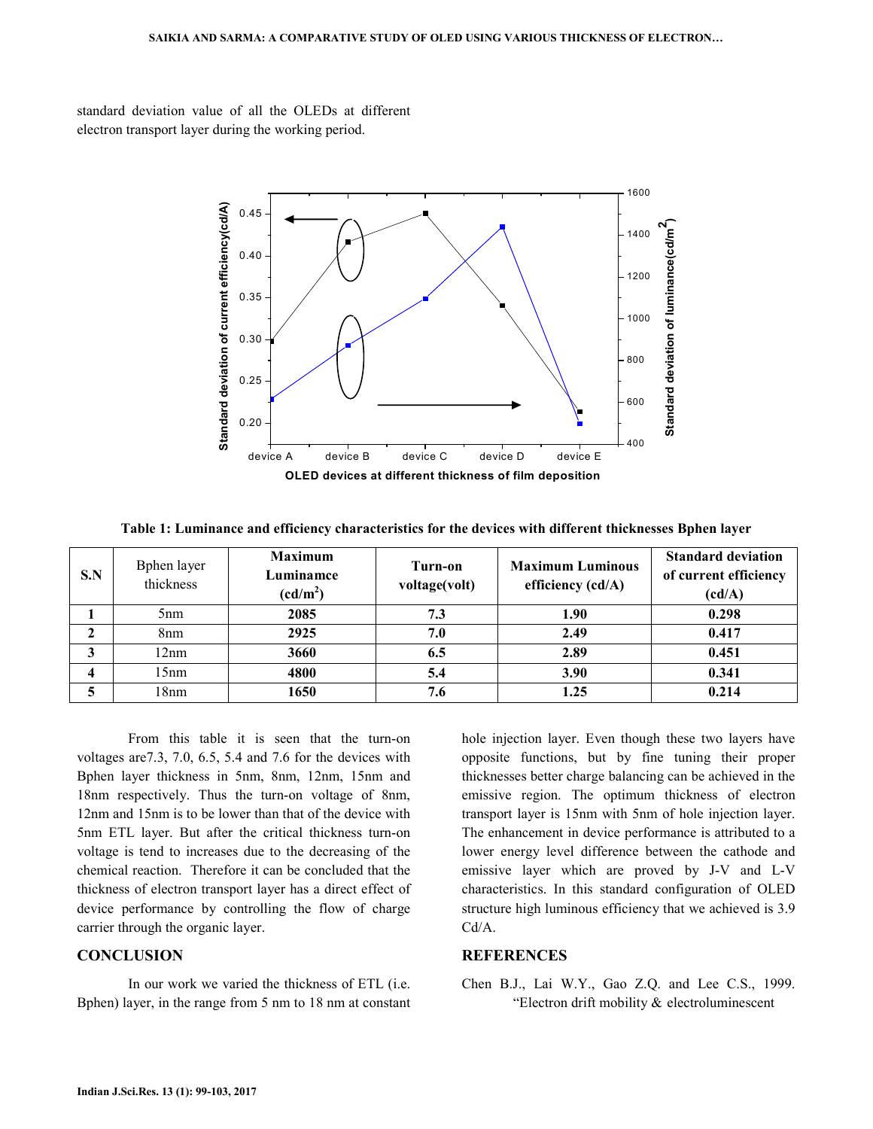standard deviation value of all the OLEDs at different electron transport layer during the working period.



**Table 1: Luminance and efficiency characteristics for the devices with different thicknesses Bphen layer**

| S.N | Bphen layer<br>thickness | <b>Maximum</b><br>Luminamce<br>$(cd/m^2)$ | Turn-on<br>voltage(volt) | <b>Maximum Luminous</b><br>efficiency (cd/A) | <b>Standard deviation</b><br>of current efficiency<br>(cd/A) |
|-----|--------------------------|-------------------------------------------|--------------------------|----------------------------------------------|--------------------------------------------------------------|
|     | 5 <sub>nm</sub>          | 2085                                      | 7.3                      | 1.90                                         | 0.298                                                        |
| າ   | 8 <sub>nm</sub>          | 2925                                      | 7.0                      | 2.49                                         | 0.417                                                        |
| 3   | 12nm                     | 3660                                      | 6.5                      | 2.89                                         | 0.451                                                        |
|     | 15nm                     | 4800                                      | 5.4                      | 3.90                                         | 0.341                                                        |
|     | 18nm                     | 1650                                      | 7.6                      | 1.25                                         | 0.214                                                        |

 From this table it is seen that the turn-on voltages are7.3, 7.0, 6.5, 5.4 and 7.6 for the devices with Bphen layer thickness in 5nm, 8nm, 12nm, 15nm and 18nm respectively. Thus the turn-on voltage of 8nm, 12nm and 15nm is to be lower than that of the device with 5nm ETL layer. But after the critical thickness turn-on voltage is tend to increases due to the decreasing of the chemical reaction. Therefore it can be concluded that the thickness of electron transport layer has a direct effect of device performance by controlling the flow of charge carrier through the organic layer.

### **CONCLUSION**

 In our work we varied the thickness of ETL (i.e. Bphen) layer, in the range from 5 nm to 18 nm at constant hole injection layer. Even though these two layers have opposite functions, but by fine tuning their proper thicknesses better charge balancing can be achieved in the emissive region. The optimum thickness of electron transport layer is 15nm with 5nm of hole injection layer. The enhancement in device performance is attributed to a lower energy level difference between the cathode and emissive layer which are proved by J-V and L-V characteristics. In this standard configuration of OLED structure high luminous efficiency that we achieved is 3.9 Cd/A.

### **REFERENCES**

Chen B.J., Lai W.Y., Gao Z.Q. and Lee C.S., 1999. "Electron drift mobility & electroluminescent